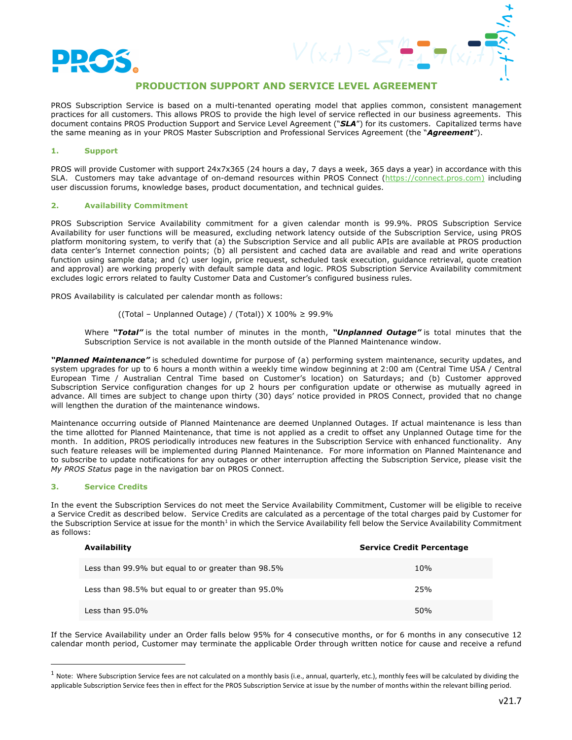

# **PRODUCTION SUPPORT AND SERVICE LEVEL AGREEMENT**

PROS Subscription Service is based on a multi-tenanted operating model that applies common, consistent management practices for all customers. This allows PROS to provide the high level of service reflected in our business agreements. This document contains PROS Production Support and Service Level Agreement ("*SLA*") for its customers. Capitalized terms have the same meaning as in your PROS Master Subscription and Professional Services Agreement (the "*Agreement*").

## **1. Support**

PROS will provide Customer with support 24x7x365 (24 hours a day, 7 days a week, 365 days a year) in accordance with this SLA. Customers may take advantage of on-demand resources within PROS Connect (https://connect.pros.com) including user discussion forums, knowledge bases, product documentation, and technical guides.

## **2. Availability Commitment**

PROS Subscription Service Availability commitment for a given calendar month is 99.9%. PROS Subscription Service Availability for user functions will be measured, excluding network latency outside of the Subscription Service, using PROS platform monitoring system, to verify that (a) the Subscription Service and all public APIs are available at PROS production data center's Internet connection points; (b) all persistent and cached data are available and read and write operations function using sample data; and (c) user login, price request, scheduled task execution, guidance retrieval, quote creation and approval) are working properly with default sample data and logic. PROS Subscription Service Availability commitment excludes logic errors related to faulty Customer Data and Customer's configured business rules.

PROS Availability is calculated per calendar month as follows:

((Total – Unplanned Outage) / (Total)) X  $100\% \ge 99.9\%$ 

Where *"Total"* is the total number of minutes in the month, *"Unplanned Outage"* is total minutes that the Subscription Service is not available in the month outside of the Planned Maintenance window.

*"Planned Maintenance"* is scheduled downtime for purpose of (a) performing system maintenance, security updates, and system upgrades for up to 6 hours a month within a weekly time window beginning at 2:00 am (Central Time USA / Central European Time / Australian Central Time based on Customer's location) on Saturdays; and (b) Customer approved Subscription Service configuration changes for up 2 hours per configuration update or otherwise as mutually agreed in advance. All times are subject to change upon thirty (30) days' notice provided in PROS Connect, provided that no change will lengthen the duration of the maintenance windows.

Maintenance occurring outside of Planned Maintenance are deemed Unplanned Outages. If actual maintenance is less than the time allotted for Planned Maintenance, that time is not applied as a credit to offset any Unplanned Outage time for the month. In addition, PROS periodically introduces new features in the Subscription Service with enhanced functionality. Any such feature releases will be implemented during Planned Maintenance. For more information on Planned Maintenance and to subscribe to update notifications for any outages or other interruption affecting the Subscription Service, please visit the *My PROS Status* page in the navigation bar on PROS Connect.

## **3. Service Credits**

In the event the Subscription Services do not meet the Service Availability Commitment, Customer will be eligible to receive a Service Credit as described below. Service Credits are calculated as a percentage of the total charges paid by Customer for the Subscription Service at issue for the month<sup>1</sup> in which the Service Availability fell below the Service Availability Commitment as follows:

| Availability                                       | <b>Service Credit Percentage</b> |
|----------------------------------------------------|----------------------------------|
| Less than 99.9% but equal to or greater than 98.5% | 10%                              |
| Less than 98.5% but equal to or greater than 95.0% | 25%                              |
| Less than $95.0\%$                                 | 50%                              |

If the Service Availability under an Order falls below 95% for 4 consecutive months, or for 6 months in any consecutive 12 calendar month period, Customer may terminate the applicable Order through written notice for cause and receive a refund

 $1$  Note: Where Subscription Service fees are not calculated on a monthly basis (i.e., annual, quarterly, etc.), monthly fees will be calculated by dividing the applicable Subscription Service fees then in effect for the PROS Subscription Service at issue by the number of months within the relevant billing period.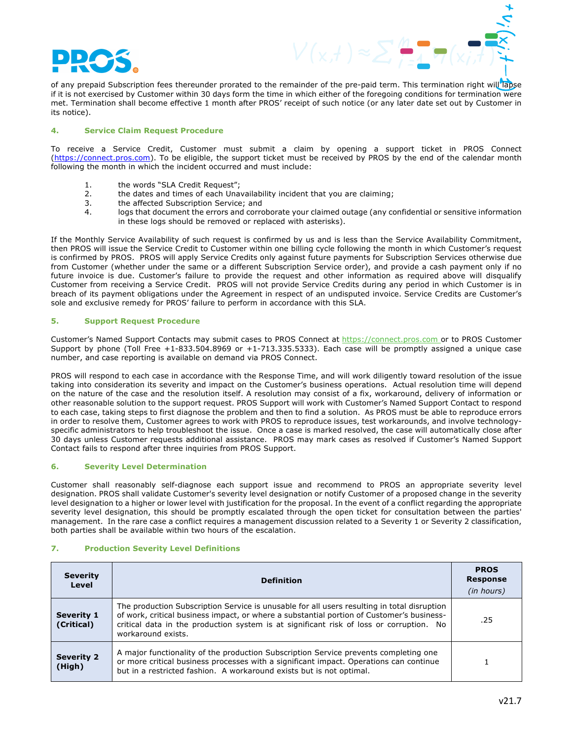

of any prepaid Subscription fees thereunder prorated to the remainder of the pre-paid term. This termination right will lapse if it is not exercised by Customer within 30 days form the time in which either of the foregoing conditions for termination were met. Termination shall become effective 1 month after PROS' receipt of such notice (or any later date set out by Customer in its notice).

## **4. Service Claim Request Procedure**

To receive a Service Credit, Customer must submit a claim by opening a support ticket in PROS Connect (https://connect.pros.com). To be eligible, the support ticket must be received by PROS by the end of the calendar month following the month in which the incident occurred and must include:

- 1. the words "SLA Credit Request";
- 2. the dates and times of each Unavailability incident that you are claiming;
- 3. the affected Subscription Service; and
- 4. logs that document the errors and corroborate your claimed outage (any confidential or sensitive information in these logs should be removed or replaced with asterisks).

If the Monthly Service Availability of such request is confirmed by us and is less than the Service Availability Commitment, then PROS will issue the Service Credit to Customer within one billing cycle following the month in which Customer's request is confirmed by PROS. PROS will apply Service Credits only against future payments for Subscription Services otherwise due from Customer (whether under the same or a different Subscription Service order), and provide a cash payment only if no future invoice is due. Customer's failure to provide the request and other information as required above will disqualify Customer from receiving a Service Credit. PROS will not provide Service Credits during any period in which Customer is in breach of its payment obligations under the Agreement in respect of an undisputed invoice. Service Credits are Customer's sole and exclusive remedy for PROS' failure to perform in accordance with this SLA.

## **5. Support Request Procedure**

Customer's Named Support Contacts may submit cases to PROS Connect at https://connect.pros.com or to PROS Customer Support by phone (Toll Free +1-833.504.8969 or +1-713.335.5333). Each case will be promptly assigned a unique case number, and case reporting is available on demand via PROS Connect.

PROS will respond to each case in accordance with the Response Time, and will work diligently toward resolution of the issue taking into consideration its severity and impact on the Customer's business operations. Actual resolution time will depend on the nature of the case and the resolution itself. A resolution may consist of a fix, workaround, delivery of information or other reasonable solution to the support request. PROS Support will work with Customer's Named Support Contact to respond to each case, taking steps to first diagnose the problem and then to find a solution. As PROS must be able to reproduce errors in order to resolve them, Customer agrees to work with PROS to reproduce issues, test workarounds, and involve technologyspecific administrators to help troubleshoot the issue. Once a case is marked resolved, the case will automatically close after 30 days unless Customer requests additional assistance. PROS may mark cases as resolved if Customer's Named Support Contact fails to respond after three inquiries from PROS Support.

#### **6. Severity Level Determination**

Customer shall reasonably self-diagnose each support issue and recommend to PROS an appropriate severity level designation. PROS shall validate Customer's severity level designation or notify Customer of a proposed change in the severity level designation to a higher or lower level with justification for the proposal. In the event of a conflict regarding the appropriate severity level designation, this should be promptly escalated through the open ticket for consultation between the parties' management. In the rare case a conflict requires a management discussion related to a Severity 1 or Severity 2 classification, both parties shall be available within two hours of the escalation.

#### **7. Production Severity Level Definitions**

| <b>Severity</b><br>Level        | <b>Definition</b>                                                                                                                                                                                                                                                                                         | <b>PROS</b><br><b>Response</b><br>(in hours) |
|---------------------------------|-----------------------------------------------------------------------------------------------------------------------------------------------------------------------------------------------------------------------------------------------------------------------------------------------------------|----------------------------------------------|
| <b>Severity 1</b><br>(Critical) | The production Subscription Service is unusable for all users resulting in total disruption<br>of work, critical business impact, or where a substantial portion of Customer's business-<br>critical data in the production system is at significant risk of loss or corruption. No<br>workaround exists. | .25                                          |
| <b>Severity 2</b><br>(High)     | A major functionality of the production Subscription Service prevents completing one<br>or more critical business processes with a significant impact. Operations can continue<br>but in a restricted fashion. A workaround exists but is not optimal.                                                    |                                              |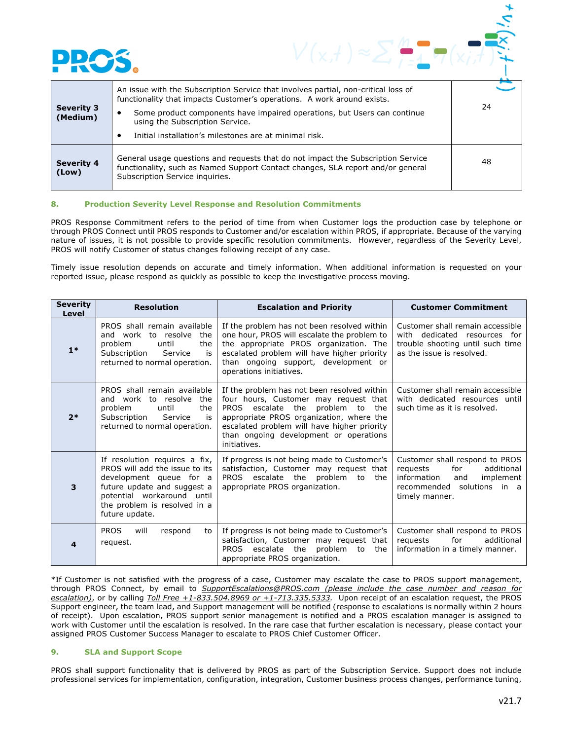

| <b>Severity 3</b><br>(Medium) | An issue with the Subscription Service that involves partial, non-critical loss of<br>functionality that impacts Customer's operations. A work around exists.<br>Some product components have impaired operations, but Users can continue<br>using the Subscription Service.<br>Initial installation's milestones are at minimal risk. | 24 |
|-------------------------------|----------------------------------------------------------------------------------------------------------------------------------------------------------------------------------------------------------------------------------------------------------------------------------------------------------------------------------------|----|
| <b>Severity 4</b><br>(Low)    | General usage questions and requests that do not impact the Subscription Service<br>functionality, such as Named Support Contact changes, SLA report and/or general<br>Subscription Service inquiries.                                                                                                                                 | 48 |

#### **8. Production Severity Level Response and Resolution Commitments**

PROS Response Commitment refers to the period of time from when Customer logs the production case by telephone or through PROS Connect until PROS responds to Customer and/or escalation within PROS, if appropriate. Because of the varying nature of issues, it is not possible to provide specific resolution commitments. However, regardless of the Severity Level, PROS will notify Customer of status changes following receipt of any case.

Timely issue resolution depends on accurate and timely information. When additional information is requested on your reported issue, please respond as quickly as possible to keep the investigative process moving.

| <b>Severity</b><br>Level | <b>Resolution</b>                                                                                                                                                                                            | <b>Escalation and Priority</b>                                                                                                                                                                                                                                                      | <b>Customer Commitment</b>                                                                                                                         |
|--------------------------|--------------------------------------------------------------------------------------------------------------------------------------------------------------------------------------------------------------|-------------------------------------------------------------------------------------------------------------------------------------------------------------------------------------------------------------------------------------------------------------------------------------|----------------------------------------------------------------------------------------------------------------------------------------------------|
| $1*$                     | PROS shall remain available<br>and work to resolve<br>the<br>problem<br>until<br>the<br>Subscription<br>Service<br>is<br>returned to normal operation.                                                       | If the problem has not been resolved within<br>one hour, PROS will escalate the problem to<br>the appropriate PROS organization. The<br>escalated problem will have higher priority<br>than ongoing support, development or<br>operations initiatives.                              | Customer shall remain accessible<br>with dedicated resources for<br>trouble shooting until such time<br>as the issue is resolved.                  |
| $2*$                     | PROS shall remain available<br>and work to resolve<br>the<br>problem<br>the<br>until<br>Subscription<br>is<br>Service<br>returned to normal operation.                                                       | If the problem has not been resolved within<br>four hours, Customer may request that<br>PROS escalate the<br>problem to<br>the<br>appropriate PROS organization, where the<br>escalated problem will have higher priority<br>than ongoing development or operations<br>initiatives. | Customer shall remain accessible<br>with dedicated resources until<br>such time as it is resolved.                                                 |
| 3                        | If resolution requires a fix,<br>PROS will add the issue to its<br>development queue for a<br>future update and suggest a<br>potential workaround<br>until<br>the problem is resolved in a<br>future update. | If progress is not being made to Customer's<br>satisfaction, Customer may request that<br>escalate the<br>problem<br>PROS<br>to<br>the<br>appropriate PROS organization.                                                                                                            | Customer shall respond to PROS<br>requests<br>for<br>additional<br>information<br>implement<br>and<br>recommended solutions in a<br>timely manner. |
| 4                        | <b>PROS</b><br>will<br>respond<br>to<br>request.                                                                                                                                                             | If progress is not being made to Customer's<br>satisfaction, Customer may request that<br>escalate the<br>problem<br><b>PROS</b><br>to<br>the<br>appropriate PROS organization.                                                                                                     | Customer shall respond to PROS<br>requests<br>for<br>additional<br>information in a timely manner.                                                 |

\*If Customer is not satisfied with the progress of a case, Customer may escalate the case to PROS support management, through PROS Connect, by email to *SupportEscalations@PROS.com (please include the case number and reason for escalation)*, or by calling *Toll Free +1-833.504.8969 or +1-713.335.5333.* Upon receipt of an escalation request, the PROS Support engineer, the team lead, and Support management will be notified (response to escalations is normally within 2 hours of receipt). Upon escalation, PROS support senior management is notified and a PROS escalation manager is assigned to work with Customer until the escalation is resolved. In the rare case that further escalation is necessary, please contact your assigned PROS Customer Success Manager to escalate to PROS Chief Customer Officer.

## **9. SLA and Support Scope**

PROS shall support functionality that is delivered by PROS as part of the Subscription Service. Support does not include professional services for implementation, configuration, integration, Customer business process changes, performance tuning,